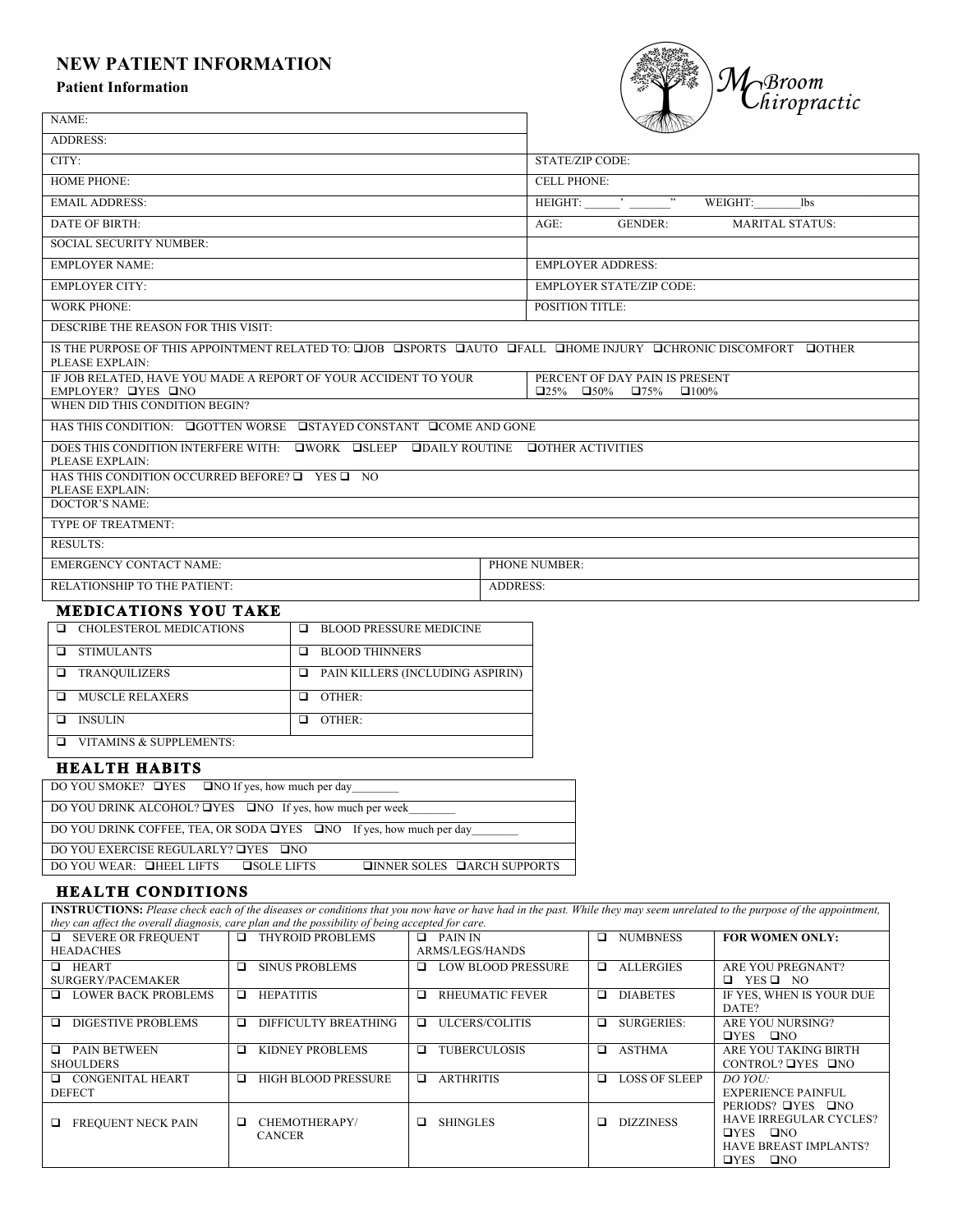# **NEW PATIENT INFORMATION**

#### **Patient Information**



| NAME:                                                                    |                                                                                   |                                                                                                                 |  |  |  |  |
|--------------------------------------------------------------------------|-----------------------------------------------------------------------------------|-----------------------------------------------------------------------------------------------------------------|--|--|--|--|
| <b>ADDRESS:</b>                                                          |                                                                                   |                                                                                                                 |  |  |  |  |
| CITY:                                                                    |                                                                                   | <b>STATE/ZIP CODE:</b>                                                                                          |  |  |  |  |
| <b>HOME PHONE:</b>                                                       |                                                                                   | <b>CELL PHONE:</b>                                                                                              |  |  |  |  |
| <b>EMAIL ADDRESS:</b>                                                    |                                                                                   | $HEIGHT:$ $\begin{array}{ccc}\n & \cdot & \cdot & \cdot\n\end{array}$<br>WEIGHT:<br>lbs                         |  |  |  |  |
| <b>DATE OF BIRTH:</b>                                                    |                                                                                   | $AGE$ :<br><b>GENDER:</b><br><b>MARITAL STATUS:</b>                                                             |  |  |  |  |
| <b>SOCIAL SECURITY NUMBER:</b>                                           |                                                                                   |                                                                                                                 |  |  |  |  |
| <b>EMPLOYER NAME:</b>                                                    |                                                                                   | <b>EMPLOYER ADDRESS:</b>                                                                                        |  |  |  |  |
| <b>EMPLOYER CITY:</b>                                                    |                                                                                   | <b>EMPLOYER STATE/ZIP CODE:</b>                                                                                 |  |  |  |  |
| <b>WORK PHONE:</b>                                                       |                                                                                   | <b>POSITION TITLE:</b>                                                                                          |  |  |  |  |
| DESCRIBE THE REASON FOR THIS VISIT:                                      |                                                                                   |                                                                                                                 |  |  |  |  |
| PLEASE EXPLAIN:                                                          |                                                                                   | IS THE PURPOSE OF THIS APPOINTMENT RELATED TO: QJOB COSPORTS CAUTO CHALL CHOME INJURY CHRONIC DISCOMFORT COTHER |  |  |  |  |
| IF JOB RELATED, HAVE YOU MADE A REPORT OF YOUR ACCIDENT TO YOUR          |                                                                                   | PERCENT OF DAY PAIN IS PRESENT<br>$\square$ 25% $\square$ 50% $\square$ 75%                                     |  |  |  |  |
| EMPLOYER? OYES ONO<br>WHEN DID THIS CONDITION BEGIN?                     |                                                                                   | $\Box 100\%$                                                                                                    |  |  |  |  |
| HAS THIS CONDITION: <b>QGOTTEN WORSE QSTAYED CONSTANT QCOME AND GONE</b> |                                                                                   |                                                                                                                 |  |  |  |  |
| PLEASE EXPLAIN:                                                          | DOES THIS CONDITION INTERFERE WITH: UWORK USLEEP UDAILY ROUTINE UOTHER ACTIVITIES |                                                                                                                 |  |  |  |  |
| HAS THIS CONDITION OCCURRED BEFORE? $\Box$ YES $\Box$ NO                 |                                                                                   |                                                                                                                 |  |  |  |  |
| PLEASE EXPLAIN:<br><b>DOCTOR'S NAME:</b>                                 |                                                                                   |                                                                                                                 |  |  |  |  |
| TYPE OF TREATMENT:                                                       |                                                                                   |                                                                                                                 |  |  |  |  |
| <b>RESULTS:</b>                                                          |                                                                                   |                                                                                                                 |  |  |  |  |
| <b>EMERGENCY CONTACT NAME:</b>                                           |                                                                                   | PHONE NUMBER:                                                                                                   |  |  |  |  |
| RELATIONSHIP TO THE PATIENT:                                             |                                                                                   | <b>ADDRESS:</b>                                                                                                 |  |  |  |  |
| <b>MEDICATIONS YOU TAKE</b>                                              |                                                                                   |                                                                                                                 |  |  |  |  |
| <b>Q</b> CHOLESTEROL MEDICATIONS                                         | <b>E BLOOD PRESSURE MEDICINE</b>                                                  |                                                                                                                 |  |  |  |  |
| <b>Q</b> STIMULANTS                                                      | <b>E</b> BLOOD THINNERS                                                           |                                                                                                                 |  |  |  |  |
| <b>IN TRANQUILIZERS</b>                                                  | $\Box$ PAIN KILLERS (INCLUDING ASPIRIN)                                           |                                                                                                                 |  |  |  |  |
| <b>INUSCLE RELAXERS</b>                                                  | $\Box$ OTHER:                                                                     |                                                                                                                 |  |  |  |  |
| $\Box$ INSULIN                                                           | $\Box$ OTHER:                                                                     |                                                                                                                 |  |  |  |  |
| $\Box$ VITAMINS & SUPPLEMENTS:                                           |                                                                                   |                                                                                                                 |  |  |  |  |
| <b>HEALTH HABITS</b>                                                     |                                                                                   |                                                                                                                 |  |  |  |  |
| DO YOU SMOKE? <b>QYES</b> QNO If yes, how much per day                   |                                                                                   |                                                                                                                 |  |  |  |  |
| DO YOU DRINK ALCOHOL? □YES □NO If yes, how much per week                 |                                                                                   |                                                                                                                 |  |  |  |  |
| DO YOU DRINK COFFEE, TEA, OR SODA TYES TO If yes, how much per day       |                                                                                   |                                                                                                                 |  |  |  |  |

DO YOU EXERCISE REGULARLY? TYES TNO

DO YOU WEAR: THEEL LIFTS SOLE LIFTS TINNER SOLES TARCH SUPPORTS

**INSTRUCTIONS:** *Please check each of the diseases or conditions that you now have or have had in the past. While they may seem unrelated to the purpose of the appointment, they can affect the overall diagnosis, care plan and the possibility of being accepted for care.*   $\Box$  SEVERE OR FREQUENT  $\Box$  THYROID PROBLEMS  $\Box$  PAIN IN <del>any analysis and analysis and</del><br>
<del>□</del> SEVERE OR FREQUENT<br>
HEADACHES ARMS/LEGS/HANDS  $\Box$  NUMBNESS **FOR WOMEN ONLY: D** HEART **□** SINUS PROBLEMS  $\Box$  LOW BLOOD PRESSURE  $\Box$  ALLERGIES ARE YOU PREGNANT?

| <b>HEART</b><br>□<br>SURGERY/PACEMAKER       | □<br><b>SINUS PROBLEMS</b>               | □<br><b>LOW BLOOD PRESSURE</b> | <b>ALLERGIES</b><br>□. | ARE YOU PREGNANT?<br>$YES$ $\square$ NO<br>$\Box$                                                                                |
|----------------------------------------------|------------------------------------------|--------------------------------|------------------------|----------------------------------------------------------------------------------------------------------------------------------|
| <b>LOWER BACK PROBLEMS</b><br>ப              | <b>HEPATITIS</b><br>□                    | RHEUMATIC FEVER<br>◻           | <b>DIABETES</b><br>□   | IF YES, WHEN IS YOUR DUE<br>DATE?                                                                                                |
| DIGESTIVE PROBLEMS<br>ப                      | DIFFICULTY BREATHING<br>□                | <b>ULCERS/COLITIS</b><br>□     | SURGERIES:<br>a        | ARE YOU NURSING?<br>$QYES$ $QNO$                                                                                                 |
| <b>PAIN BETWEEN</b><br>□<br><b>SHOULDERS</b> | KIDNEY PROBLEMS<br>◻                     | <b>TUBERCULOSIS</b><br>▫       | <b>ASTHMA</b><br>◻     | ARE YOU TAKING BIRTH<br>CONTROL? $\Box$ YES $\Box$ NO                                                                            |
| CONGENITAL HEART<br>⊔.<br><b>DEFECT</b>      | HIGH BLOOD PRESSURE<br>◻                 | <b>ARTHRITIS</b><br>$\Box$     | LOSS OF SLEEP<br>a.    | DO YOU:<br>EXPERIENCE PAINFUL.                                                                                                   |
| <b>FREOUENT NECK PAIN</b><br>ப               | CHEMOTHERAPY/<br>$\Box$<br><b>CANCER</b> | <b>SHINGLES</b><br>□           | <b>DIZZINESS</b><br>◻  | PERIODS? OYES ONO<br><b>HAVE IRREGULAR CYCLES?</b><br>$QYES$ $QNO$<br><b>HAVE BREAST IMPLANTS?</b><br>$\square$ NO<br>$\Box$ YES |